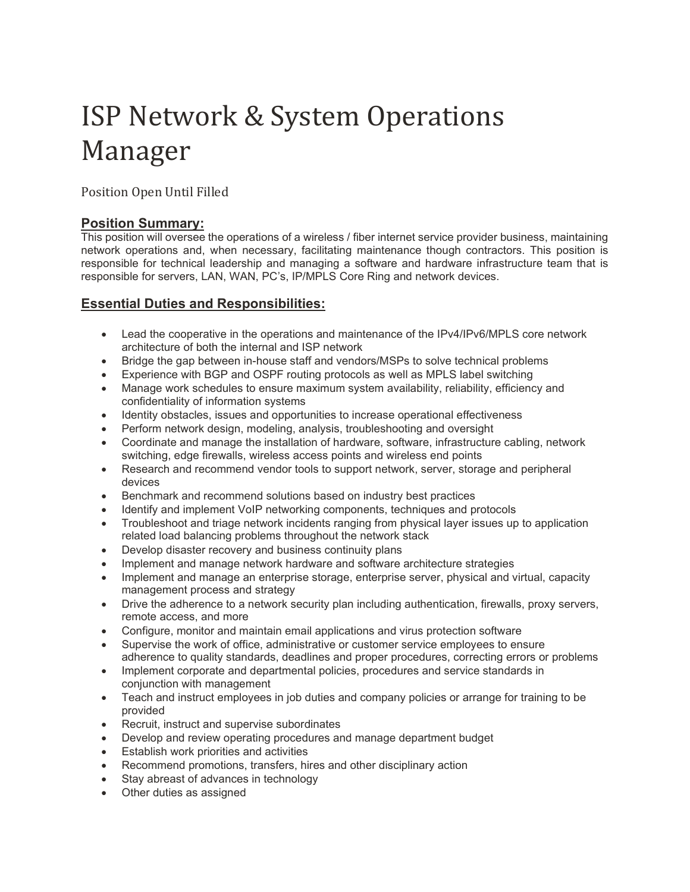# ISP Network & System Operations Manager

Position Open Until Filled

### **Position Summary:**

This position will oversee the operations of a wireless / fiber internet service provider business, maintaining network operations and, when necessary, facilitating maintenance though contractors. This position is responsible for technical leadership and managing a software and hardware infrastructure team that is responsible for servers, LAN, WAN, PC's, IP/MPLS Core Ring and network devices.

## **Essential Duties and Responsibilities:**

- Lead the cooperative in the operations and maintenance of the IPv4/IPv6/MPLS core network architecture of both the internal and ISP network
- Bridge the gap between in-house staff and vendors/MSPs to solve technical problems
- Experience with BGP and OSPF routing protocols as well as MPLS label switching
- Manage work schedules to ensure maximum system availability, reliability, efficiency and confidentiality of information systems
- Identity obstacles, issues and opportunities to increase operational effectiveness
- Perform network design, modeling, analysis, troubleshooting and oversight
- Coordinate and manage the installation of hardware, software, infrastructure cabling, network switching, edge firewalls, wireless access points and wireless end points
- Research and recommend vendor tools to support network, server, storage and peripheral devices
- Benchmark and recommend solutions based on industry best practices
- Identify and implement VoIP networking components, techniques and protocols
- Troubleshoot and triage network incidents ranging from physical layer issues up to application related load balancing problems throughout the network stack
- Develop disaster recovery and business continuity plans
- Implement and manage network hardware and software architecture strategies
- Implement and manage an enterprise storage, enterprise server, physical and virtual, capacity management process and strategy
- Drive the adherence to a network security plan including authentication, firewalls, proxy servers, remote access, and more
- Configure, monitor and maintain email applications and virus protection software
- Supervise the work of office, administrative or customer service employees to ensure adherence to quality standards, deadlines and proper procedures, correcting errors or problems
- Implement corporate and departmental policies, procedures and service standards in conjunction with management
- Teach and instruct employees in job duties and company policies or arrange for training to be provided
- Recruit, instruct and supervise subordinates
- Develop and review operating procedures and manage department budget
- Establish work priorities and activities
- Recommend promotions, transfers, hires and other disciplinary action
- Stay abreast of advances in technology
- Other duties as assigned